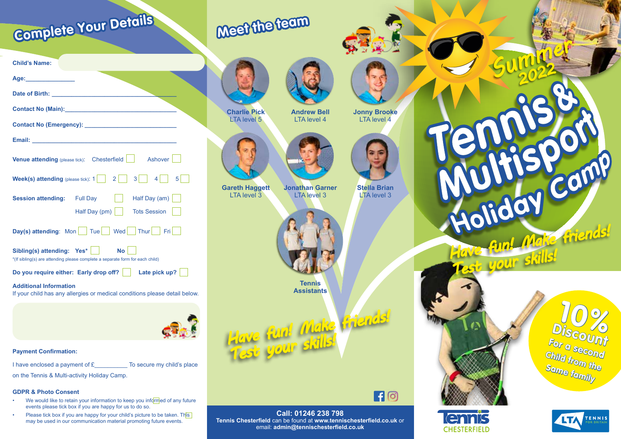## **Meet the team**



**Charlie Pick LTA** level 5



**Jonny Brooke** LTA level 4



**Gareth Haggett**  LTA level 3 **Jonathan Garner** LTA level 3



**Stella Brian** LTA level 3

 $\blacksquare$ 



**Assistants**

**Tennis** 

*Have fun! Make friends! Test your skills!*





**Holiday Camp** 

*Summer <sup>2022</sup>*





# TENNIS

| Age: the contract of the contract of the contract of the contract of the contract of the contract of the contract of the contract of the contract of the contract of the contract of the contract of the contract of the contr |  |
|--------------------------------------------------------------------------------------------------------------------------------------------------------------------------------------------------------------------------------|--|
| Date of Birth: The Contract of Birth:                                                                                                                                                                                          |  |
|                                                                                                                                                                                                                                |  |
| <b>Contact No (Emergency):</b> Contact No (Emergency):                                                                                                                                                                         |  |
|                                                                                                                                                                                                                                |  |
| <b>Venue attending</b> (please tick): $\text{Chesterfield}$   Ashover                                                                                                                                                          |  |
| <b>Week(s) attending</b> (please tick): $1 \begin{bmatrix} 2 & 3 & 4 \end{bmatrix}$ 5                                                                                                                                          |  |
| Half Day (am)<br><b>Session attending:</b> Full Day                                                                                                                                                                            |  |
| Half Day (pm)   Tots Session                                                                                                                                                                                                   |  |
| <b>Day(s) attending:</b> Mon $ $ Tue $ $ Wed Thur Fri                                                                                                                                                                          |  |
| Sibling(s) attending: Yes*    <br><b>No</b><br>*(If sibling(s) are attending please complete a separate form for each child)                                                                                                   |  |
| Do you require either: Early drop off?   Late pick up?                                                                                                                                                                         |  |
| <b>Additional Information</b><br>If your child has any allergies or medical conditions please detail below.                                                                                                                    |  |
|                                                                                                                                                                                                                                |  |

### **Payment Confirmation:**

**Child's Name:**

**Complete Your Details**

I have enclosed a payment of  $E$  To secure my child's place

**DERVI** 

on the Tennis & Multi-activity Holiday Camp.

### **GDPR & Photo Consent**

- We would like to retain your information to keep you informed of any future events please tick box if you are happy for us to do so.
- Please tick box if you are happy for your child's picture to be taken. This may be used in our communication material promoting future events.

**Call: 01246 238 798 Tennis Chesterfield** can be found at **www.tennischesterfield.co.uk** or email: **admin@tennischesterfield.co.uk**